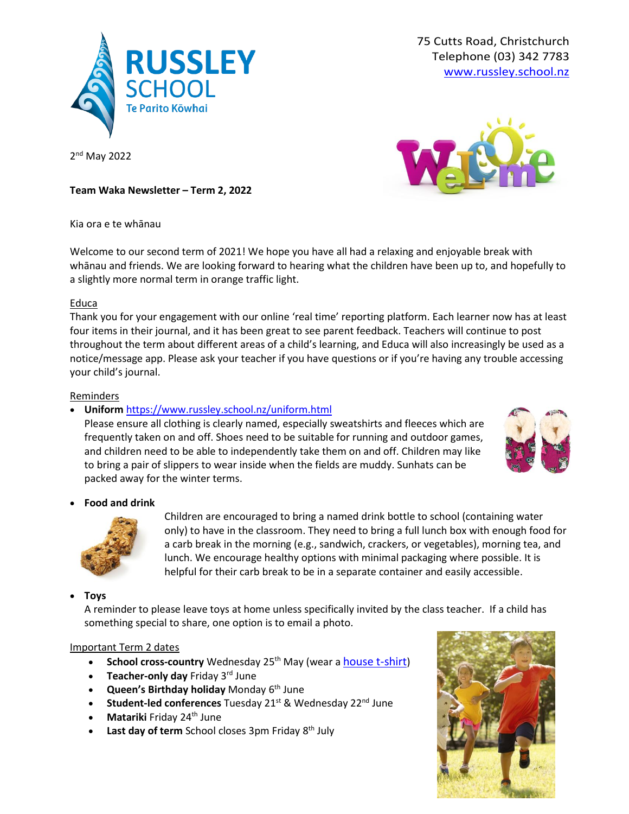

75 Cutts Road, Christchurch Telephone (03) 342 7783 [www.russley.school.nz](http://www.russley.school.nz/)

2<sup>nd</sup> May 2022



**Team Waka Newsletter – Term 2, 2022**

Kia ora e te whānau

Welcome to our second term of 2021! We hope you have all had a relaxing and enjoyable break with whānau and friends. We are looking forward to hearing what the children have been up to, and hopefully to a slightly more normal term in orange traffic light.

## Educa

Thank you for your engagement with our online 'real time' reporting platform. Each learner now has at least four items in their journal, and it has been great to see parent feedback. Teachers will continue to post throughout the term about different areas of a child's learning, and Educa will also increasingly be used as a notice/message app. Please ask your teacher if you have questions or if you're having any trouble accessing your child's journal.

## Reminders

# • **Uniform** <https://www.russley.school.nz/uniform.html>

Please ensure all clothing is clearly named, especially sweatshirts and fleeces which are frequently taken on and off. Shoes need to be suitable for running and outdoor games, and children need to be able to independently take them on and off. Children may like to bring a pair of slippers to wear inside when the fields are muddy. Sunhats can be packed away for the winter terms.



• **Food and drink**



Children are encouraged to bring a named drink bottle to school (containing water only) to have in the classroom. They need to bring a full lunch box with enough food for a carb break in the morning (e.g., sandwich, crackers, or vegetables), morning tea, and lunch. We encourage healthy options with minimal packaging where possible. It is helpful for their carb break to be in a separate container and easily accessible.

• **Toys**

A reminder to please leave toys at home unless specifically invited by the class teacher. If a child has something special to share, one option is to email a photo.

## Important Term 2 dates

- **School cross-country** Wednesday 25<sup>th</sup> May (wear a [house t-shirt](https://www.mainlanduniforms.nz/russley-primary/850-4744-house-t-shirts-russley.html#/color-red/size-4))
- **Teacher-only day** Friday 3<sup>rd</sup> June
- **Queen's Birthday holiday** Monday 6 th June
- **Student-led conferences** Tuesday 21<sup>st</sup> & Wednesday 22<sup>nd</sup> June
- **Matariki** Friday 24<sup>th</sup> June
- **Last day of term** School closes 3pm Friday 8<sup>th</sup> July